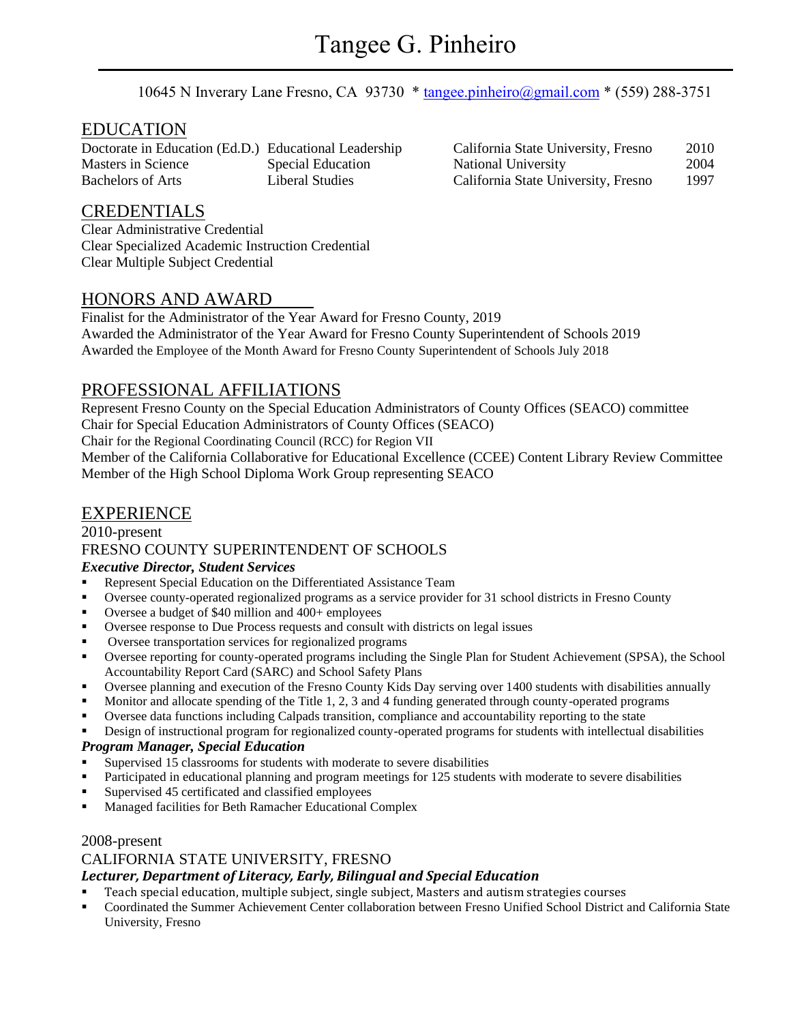10645 N Inverary Lane Fresno, CA 93730 \* [tangee.pinheiro@gmail.com](mailto:tangee.pinheiro@gmail.com) \* (559) 288-3751

# EDUCATION

Doctorate in Education (Ed.D.) Educational Leadership Masters in Science Special Education Bachelors of Arts Liberal Studies

| California State University, Fresno | 2010 |
|-------------------------------------|------|
| <b>National University</b>          | 2004 |
| California State University, Fresno | 1997 |

## CREDENTIALS

Clear Administrative Credential Clear Specialized Academic Instruction Credential Clear Multiple Subject Credential

## HONORS AND AWARD

Finalist for the Administrator of the Year Award for Fresno County, 2019 Awarded the Administrator of the Year Award for Fresno County Superintendent of Schools 2019 Awarded the Employee of the Month Award for Fresno County Superintendent of Schools July 2018

# PROFESSIONAL AFFILIATIONS

Represent Fresno County on the Special Education Administrators of County Offices (SEACO) committee Chair for Special Education Administrators of County Offices (SEACO)

Chair for the Regional Coordinating Council (RCC) for Region VII

Member of the California Collaborative for Educational Excellence (CCEE) Content Library Review Committee Member of the High School Diploma Work Group representing SEACO

# EXPERIENCE

## 2010-present FRESNO COUNTY SUPERINTENDENT OF SCHOOLS *Executive Director, Student Services*

- Represent Special Education on the Differentiated Assistance Team
- Oversee county-operated regionalized programs as a service provider for 31 school districts in Fresno County
- Oversee a budget of \$40 million and 400+ employees
- Oversee response to Due Process requests and consult with districts on legal issues
- Oversee transportation services for regionalized programs
- Oversee reporting for county-operated programs including the Single Plan for Student Achievement (SPSA), the School Accountability Report Card (SARC) and School Safety Plans
- Oversee planning and execution of the Fresno County Kids Day serving over 1400 students with disabilities annually
- Monitor and allocate spending of the Title 1, 2, 3 and 4 funding generated through county-operated programs
- Oversee data functions including Calpads transition, compliance and accountability reporting to the state
- Design of instructional program for regionalized county-operated programs for students with intellectual disabilities

## *Program Manager, Special Education*

- Supervised 15 classrooms for students with moderate to severe disabilities
- Participated in educational planning and program meetings for 125 students with moderate to severe disabilities
- Supervised 45 certificated and classified employees
- Managed facilities for Beth Ramacher Educational Complex

## 2008-present

## CALIFORNIA STATE UNIVERSITY, FRESNO

## *Lecturer, Department of Literacy, Early, Bilingual and Special Education*

- Teach special education, multiple subject, single subject, Masters and autism strategies courses
- Coordinated the Summer Achievement Center collaboration between Fresno Unified School District and California State University, Fresno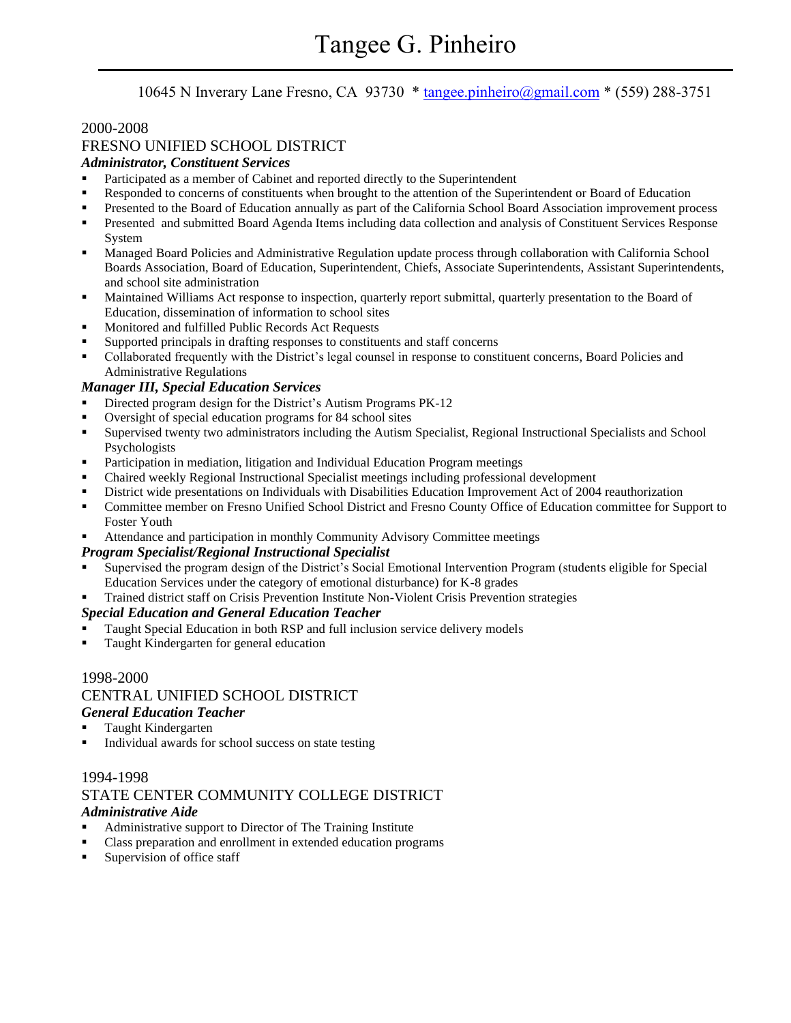## 10645 N Inverary Lane Fresno, CA 93730 \* [tangee.pinheiro@gmail.com](mailto:tangee.pinheiro@gmail.com) \* (559) 288-3751

## 2000-2008

## FRESNO UNIFIED SCHOOL DISTRICT

## *Administrator, Constituent Services*

- Participated as a member of Cabinet and reported directly to the Superintendent
- Responded to concerns of constituents when brought to the attention of the Superintendent or Board of Education
- **•** Presented to the Board of Education annually as part of the California School Board Association improvement process
- **•** Presented and submitted Board Agenda Items including data collection and analysis of Constituent Services Response System
- **Managed Board Policies and Administrative Regulation update process through collaboration with California School** Boards Association, Board of Education, Superintendent, Chiefs, Associate Superintendents, Assistant Superintendents, and school site administration
- Maintained Williams Act response to inspection, quarterly report submittal, quarterly presentation to the Board of Education, dissemination of information to school sites
- Monitored and fulfilled Public Records Act Requests
- Supported principals in drafting responses to constituents and staff concerns
- Collaborated frequently with the District's legal counsel in response to constituent concerns, Board Policies and Administrative Regulations

### *Manager III, Special Education Services*

- Directed program design for the District's Autism Programs PK-12
- Oversight of special education programs for 84 school sites
- Supervised twenty two administrators including the Autism Specialist, Regional Instructional Specialists and School Psychologists
- **•** Participation in mediation, litigation and Individual Education Program meetings
- Chaired weekly Regional Instructional Specialist meetings including professional development
- District wide presentations on Individuals with Disabilities Education Improvement Act of 2004 reauthorization
- **•** Committee member on Fresno Unified School District and Fresno County Office of Education committee for Support to Foster Youth
- Attendance and participation in monthly Community Advisory Committee meetings

#### *Program Specialist/Regional Instructional Specialist*

- Supervised the program design of the District's Social Emotional Intervention Program (students eligible for Special Education Services under the category of emotional disturbance) for K-8 grades
- Trained district staff on Crisis Prevention Institute Non-Violent Crisis Prevention strategies

#### *Special Education and General Education Teacher*

- Taught Special Education in both RSP and full inclusion service delivery models
- Taught Kindergarten for general education

### 1998-2000 CENTRAL UNIFIED SCHOOL DISTRICT *General Education Teacher*

- Taught Kindergarten
- Individual awards for school success on state testing

# 1994-1998 STATE CENTER COMMUNITY COLLEGE DISTRICT

#### *Administrative Aide*

- Administrative support to Director of The Training Institute
- Class preparation and enrollment in extended education programs
- Supervision of office staff